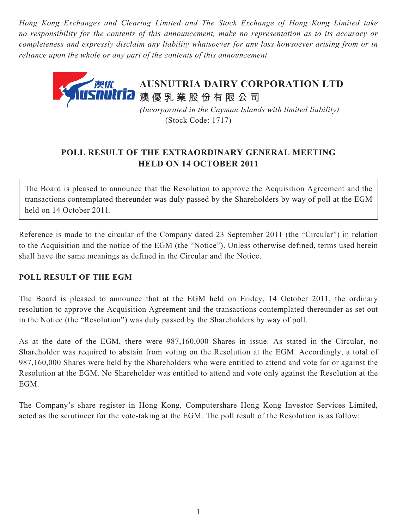*Hong Kong Exchanges and Clearing Limited and The Stock Exchange of Hong Kong Limited take no responsibility for the contents of this announcement, make no representation as to its accuracy or completeness and expressly disclaim any liability whatsoever for any loss howsoever arising from or in reliance upon the whole or any part of the contents of this announcement.*



## **POLL RESULT OF THE EXTRAORDINARY GENERAL MEETING HELD ON 14 OCTOBER 2011**

The Board is pleased to announce that the Resolution to approve the Acquisition Agreement and the transactions contemplated thereunder was duly passed by the Shareholders by way of poll at the EGM held on 14 October 2011.

Reference is made to the circular of the Company dated 23 September 2011 (the "Circular") in relation to the Acquisition and the notice of the EGM (the "Notice"). Unless otherwise defined, terms used herein shall have the same meanings as defined in the Circular and the Notice.

## **POLL RESULT OF THE EGM**

The Board is pleased to announce that at the EGM held on Friday, 14 October 2011, the ordinary resolution to approve the Acquisition Agreement and the transactions contemplated thereunder as set out in the Notice (the "Resolution") was duly passed by the Shareholders by way of poll.

As at the date of the EGM, there were 987,160,000 Shares in issue. As stated in the Circular, no Shareholder was required to abstain from voting on the Resolution at the EGM. Accordingly, a total of 987,160,000 Shares were held by the Shareholders who were entitled to attend and vote for or against the Resolution at the EGM. No Shareholder was entitled to attend and vote only against the Resolution at the EGM.

The Company's share register in Hong Kong, Computershare Hong Kong Investor Services Limited, acted as the scrutineer for the vote-taking at the EGM. The poll result of the Resolution is as follow: